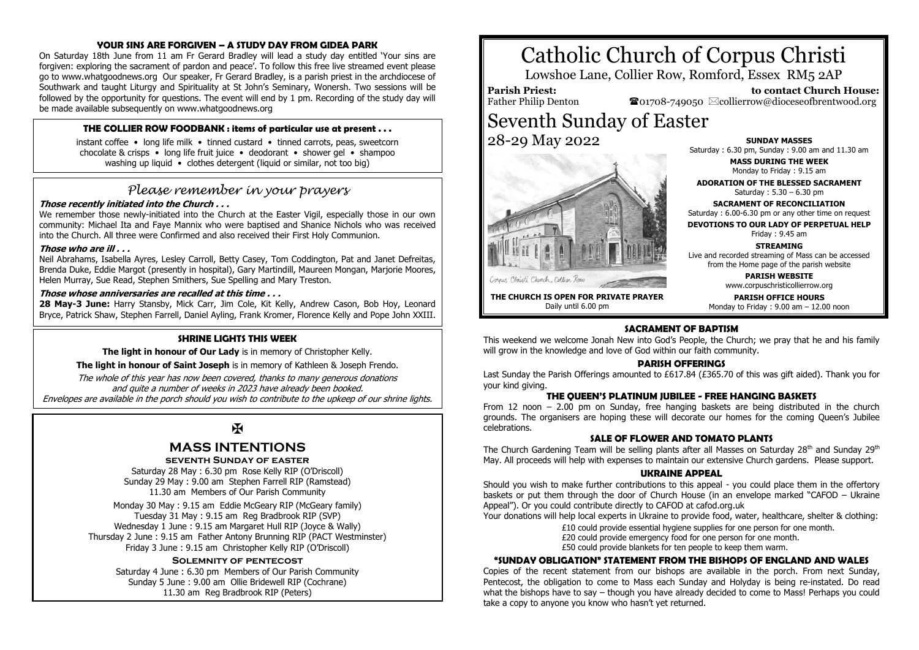#### **YOUR SINS ARE FORGIVEN – A STUDY DAY FROM GIDEA PARK**

On Saturday 18th June from 11 am Fr Gerard Bradley will lead a study day entitled 'Your sins are forgiven: exploring the sacrament of pardon and peace'. To follow this free live streamed event please go to www.whatgoodnews.org Our speaker, Fr Gerard Bradley, is a parish priest in the archdiocese of Southwark and taught Liturgy and Spirituality at St John's Seminary, Wonersh. Two sessions will be followed by the opportunity for questions. The event will end by 1 pm. Recording of the study day will be made available subsequently on www.whatgoodnews.org

#### **THE COLLIER ROW FOODBANK : items of particular use at present . . .**

instant coffee • long life milk • tinned custard • tinned carrots, peas, sweetcorn chocolate & crisps • long life fruit juice • deodorant • shower gel • shampoo washing up liquid • clothes detergent (liquid or similar, not too big)

## *Please remember in your prayers*

#### **Those recently initiated into the Church . . .**

We remember those newly-initiated into the Church at the Easter Vigil, especially those in our own community: Michael Ita and Faye Mannix who were baptised and Shanice Nichols who was received into the Church. All three were Confirmed and also received their First Holy Communion.

#### **Those who are ill . . .**

Neil Abrahams, Isabella Ayres, Lesley Carroll, Betty Casey, Tom Coddington, Pat and Janet Defreitas, Brenda Duke, Eddie Margot (presently in hospital), Gary Martindill, Maureen Mongan, Marjorie Moores, Helen Murray, Sue Read, Stephen Smithers, Sue Spelling and Mary Treston.

#### **Those whose anniversaries are recalled at this time . . .**

28 May-3 June: Harry Stansby, Mick Carr, Jim Cole, Kit Kelly, Andrew Cason, Bob Hoy, Leonard Bryce, Patrick Shaw, Stephen Farrell, Daniel Ayling, Frank Kromer, Florence Kelly and Pope John XXIII.

#### **SHRINE LIGHTS THIS WEEK**

**The light in honour of Our Lady** is in memory of Christopher Kelly.

**The light in honour of Saint Joseph** is in memory of Kathleen & Joseph Frendo.

The whole of this year has now been covered, thanks to many generous donations and quite a number of weeks in 2023 have already been booked. Envelopes are available in the porch should you wish to contribute to the upkeep of our shrine lights.

Ж

## **MASS INTENTIONS**

#### **seventh Sunday of easter**

Saturday 28 May : 6.30 pm Rose Kelly RIP (O'Driscoll) Sunday 29 May : 9.00 am Stephen Farrell RIP (Ramstead) 11.30 am Members of Our Parish Community

Monday 30 May : 9.15 am Eddie McGeary RIP (McGeary family) Tuesday 31 May : 9.15 am Reg Bradbrook RIP (SVP) Wednesday 1 June : 9.15 am Margaret Hull RIP (Joyce & Wally) Thursday 2 June : 9.15 am Father Antony Brunning RIP (PACT Westminster) Friday 3 June : 9.15 am Christopher Kelly RIP (O'Driscoll)

#### **Solemnity of pentecost**

Saturday 4 June : 6.30 pm Members of Our Parish Community Sunday 5 June : 9.00 am Ollie Bridewell RIP (Cochrane) 11.30 am Reg Bradbrook RIP (Peters)

# Catholic Church of Corpus Christi

Lowshoe Lane, Collier Row, Romford, Essex RM5 2AP

### **Parish Priest:**

Father Philip Denton

 **to contact Church House:**  $\bullet$ 01708-749050  $\boxtimes$ collierrow@dioceseofbrentwood.org

## Seventh Sunday of Easter 28-29 May 2022



**SUNDAY MASSES** Saturday : 6.30 pm, Sunday : 9.00 am and 11.30 am

> **MASS DURING THE WEEK** Monday to Friday : 9.15 am

**ADORATION OF THE BLESSED SACRAMENT** Saturday : 5.30 – 6.30 pm

**SACRAMENT OF RECONCILIATION** Saturday : 6.00-6.30 pm or any other time on request

**DEVOTIONS TO OUR LADY OF PERPETUAL HELP**

Friday : 9.45 am

**STREAMING** Live and recorded streaming of Mass can be accessed

from the Home page of the parish website

**PARISH WEBSITE** www.corpuschristicollierrow.org

**THE CHURCH IS OPEN FOR PRIVATE PRAYER** Daily until 6.00 pm

**PARISH OFFICE HOURS** Monday to Friday : 9.00 am – 12.00 noon

#### **SACRAMENT OF BAPTISM**

This weekend we welcome Jonah New into God's People, the Church; we pray that he and his family will grow in the knowledge and love of God within our faith community.

#### **PARISH OFFERINGS**

Last Sunday the Parish Offerings amounted to £617.84 (£365.70 of this was gift aided). Thank you for your kind giving.

#### **THE QUEEN'S PLATINUM JUBILEE - FREE HANGING BASKETS**

From 12 noon – 2.00 pm on Sunday, free hanging baskets are being distributed in the church grounds. The organisers are hoping these will decorate our homes for the coming Queen's Jubilee celebrations.

#### **SALE OF FLOWER AND TOMATO DLANTS**

The Church Gardening Team will be selling plants after all Masses on Saturday 28<sup>th</sup> and Sunday 29<sup>th</sup> May. All proceeds will help with expenses to maintain our extensive Church gardens. Please support.

#### **UKRAINE APPEAL**

Should you wish to make further contributions to this appeal - you could place them in the offertory baskets or put them through the door of Church House (in an envelope marked "CAFOD – Ukraine Appeal"). Or you could contribute directly to CAFOD at cafod.org.uk

Your donations will help local experts in Ukraine to provide food, water, healthcare, shelter & clothing:

£10 could provide essential hygiene supplies for one person for one month.

£20 could provide emergency food for one person for one month.

£50 could provide blankets for ten people to keep them warm.

#### **"SUNDAY OBLIGATION" STATEMENT FROM THE BISHOPS OF ENGLAND AND WALES**

Copies of the recent statement from our bishops are available in the porch. From next Sunday, Pentecost, the obligation to come to Mass each Sunday and Holyday is being re-instated. Do read what the bishops have to say – though you have already decided to come to Mass! Perhaps you could take a copy to anyone you know who hasn't yet returned.